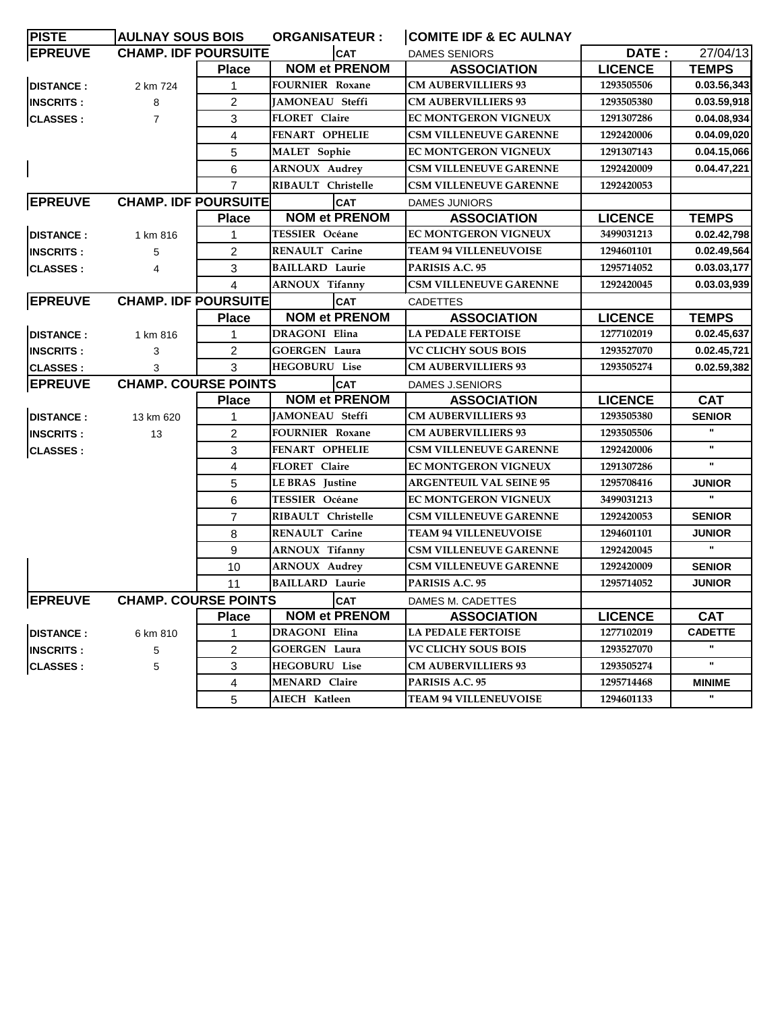| <b>PISTE</b>      | <b>AULNAY SOUS BOIS</b>     |                         | <b>ORGANISATEUR :</b>  | <b>COMITE IDF &amp; EC AULNAY</b> |                |                |
|-------------------|-----------------------------|-------------------------|------------------------|-----------------------------------|----------------|----------------|
| <b>EPREUVE</b>    | <b>CHAMP. IDF POURSUITE</b> |                         | <b>CAT</b>             | <b>DAMES SENIORS</b>              | DATE:          | 27/04/13       |
|                   |                             | <b>Place</b>            | <b>NOM et PRENOM</b>   | <b>ASSOCIATION</b>                | <b>LICENCE</b> | <b>TEMPS</b>   |
| <b>DISTANCE:</b>  | 2 km 724                    | 1                       | <b>FOURNIER Roxane</b> | <b>CM AUBERVILLIERS 93</b>        | 1293505506     | 0.03.56,343    |
| <b>INSCRITS:</b>  | 8                           | 2                       | <b>JAMONEAU Steffi</b> | <b>CM AUBERVILLIERS 93</b>        | 1293505380     | 0.03.59,918    |
| CLASSES :         | $\overline{7}$              | 3                       | FLORET Claire          | EC MONTGERON VIGNEUX              | 1291307286     | 0.04.08,934    |
|                   |                             | 4                       | <b>FENART OPHELIE</b>  | <b>CSM VILLENEUVE GARENNE</b>     | 1292420006     | 0.04.09,020    |
|                   |                             | 5                       | <b>MALET</b> Sophie    | EC MONTGERON VIGNEUX              | 1291307143     | 0.04.15,066    |
|                   |                             | 6                       | <b>ARNOUX Audrey</b>   | <b>CSM VILLENEUVE GARENNE</b>     | 1292420009     | 0.04.47,221    |
|                   |                             | $\overline{7}$          | RIBAULT Christelle     | CSM VILLENEUVE GARENNE            | 1292420053     |                |
| <b>EPREUVE</b>    | <b>CHAMP. IDF POURSUITE</b> |                         | <b>CAT</b>             | <b>DAMES JUNIORS</b>              |                |                |
|                   |                             | <b>Place</b>            | <b>NOM et PRENOM</b>   | <b>ASSOCIATION</b>                | <b>LICENCE</b> | <b>TEMPS</b>   |
| <b>DISTANCE:</b>  | 1 km 816                    | 1                       | <b>TESSIER Océane</b>  | <b>EC MONTGERON VIGNEUX</b>       | 3499031213     | 0.02.42,798    |
| <b>INSCRITS:</b>  | 5                           | $\overline{c}$          | <b>RENAULT Carine</b>  | <b>TEAM 94 VILLENEUVOISE</b>      | 1294601101     | 0.02.49,564    |
| CLASSES :         | 4                           | 3                       | <b>BAILLARD Laurie</b> | PARISIS A.C. 95                   | 1295714052     | 0.03.03,177    |
|                   |                             | 4                       | <b>ARNOUX Tifanny</b>  | <b>CSM VILLENEUVE GARENNE</b>     | 1292420045     | 0.03.03.939    |
| <b>EPREUVE</b>    | <b>CHAMP. IDF POURSUITE</b> |                         | <b>CAT</b>             | <b>CADETTES</b>                   |                |                |
|                   |                             | <b>Place</b>            | <b>NOM et PRENOM</b>   | <b>ASSOCIATION</b>                | <b>LICENCE</b> | <b>TEMPS</b>   |
| <b>DISTANCE:</b>  | 1 km 816                    | 1                       | DRAGONI Elina          | <b>LA PEDALE FERTOISE</b>         | 1277102019     | 0.02.45,637    |
| <b>IINSCRITS:</b> | 3                           | 2                       | <b>GOERGEN Laura</b>   | <b>VC CLICHY SOUS BOIS</b>        | 1293527070     | 0.02.45,721    |
| <b>CLASSES:</b>   | 3                           | 3                       | <b>HEGOBURU Lise</b>   | <b>CM AUBERVILLIERS 93</b>        | 1293505274     | 0.02.59,382    |
| <b>EPREUVE</b>    | <b>CHAMP. COURSE POINTS</b> |                         | <b>CAT</b>             | <b>DAMES J.SENIORS</b>            |                |                |
|                   |                             | <b>Place</b>            | <b>NOM et PRENOM</b>   | <b>ASSOCIATION</b>                | <b>LICENCE</b> | <b>CAT</b>     |
| <b>DISTANCE:</b>  | 13 km 620                   | 1                       | <b>JAMONEAU Steffi</b> | <b>CM AUBERVILLIERS 93</b>        | 1293505380     | <b>SENIOR</b>  |
| <b>INSCRITS:</b>  | 13                          | 2                       | <b>FOURNIER Roxane</b> | <b>CM AUBERVILLIERS 93</b>        | 1293505506     | $\mathbf{u}$   |
| CLASSES :         |                             | 3                       | <b>FENART OPHELIE</b>  | <b>CSM VILLENEUVE GARENNE</b>     | 1292420006     | $\mathbf u$    |
|                   |                             | $\overline{4}$          | FLORET Claire          | EC MONTGERON VIGNEUX              | 1291307286     | $\mathbf{u}$   |
|                   |                             | 5                       | <b>LE BRAS</b> Justine | <b>ARGENTEUIL VAL SEINE 95</b>    | 1295708416     | <b>JUNIOR</b>  |
|                   |                             | 6                       | <b>TESSIER Océane</b>  | EC MONTGERON VIGNEUX              | 3499031213     |                |
|                   |                             | $\overline{7}$          | RIBAULT Christelle     | <b>CSM VILLENEUVE GARENNE</b>     | 1292420053     | <b>SENIOR</b>  |
|                   |                             | 8                       | <b>RENAULT Carine</b>  | <b>TEAM 94 VILLENEUVOISE</b>      | 1294601101     | <b>JUNIOR</b>  |
|                   |                             | 9                       | <b>ARNOUX Tifanny</b>  | <b>CSM VILLENEUVE GARENNE</b>     | 1292420045     |                |
|                   |                             | 10                      | <b>ARNOUX Audrey</b>   | <b>CSM VILLENEUVE GARENNE</b>     | 1292420009     | <b>SENIOR</b>  |
|                   |                             | 11                      | <b>BAILLARD</b> Laurie | PARISIS A.C. 95                   | 1295714052     | <b>JUNIOR</b>  |
| <b>EPREUVE</b>    | <b>CHAMP. COURSE POINTS</b> |                         | <b>CAT</b>             | DAMES M. CADETTES                 |                |                |
|                   |                             | <b>Place</b>            | <b>NOM et PRENOM</b>   | <b>ASSOCIATION</b>                | <b>LICENCE</b> | <b>CAT</b>     |
| <b>DISTANCE:</b>  | 6 km 810                    | 1                       | <b>DRAGONI Elina</b>   | <b>LA PEDALE FERTOISE</b>         | 1277102019     | <b>CADETTE</b> |
| <b>INSCRITS:</b>  | 5                           | $\overline{2}$          | <b>GOERGEN Laura</b>   | VC CLICHY SOUS BOIS               | 1293527070     | $\mathbf{H}$   |
| <b>CLASSES:</b>   | 5                           | 3                       | <b>HEGOBURU</b> Lise   | <b>CM AUBERVILLIERS 93</b>        | 1293505274     |                |
|                   |                             | $\overline{\mathbf{4}}$ | <b>MENARD Claire</b>   | PARISIS A.C. 95                   | 1295714468     | <b>MINIME</b>  |
|                   |                             | 5                       | AIECH Katleen          | <b>TEAM 94 VILLENEUVOISE</b>      | 1294601133     |                |